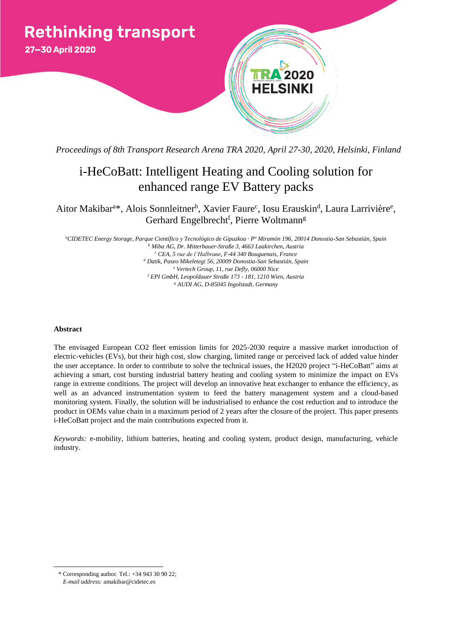

*Proceedings of 8th Transport Research Arena TRA 2020, April 27-30, 2020, Helsinki, Finland*

# i-HeCoBatt: Intelligent Heating and Cooling solution for enhanced range EV Battery packs

Aitor Makibar<sup>a\*</sup>, Alois Sonnleitner<sup>b</sup>, Xavier Faure<sup>c</sup>, Iosu Erauskin<sup>d</sup>, Laura Larrivière<sup>e</sup>, Gerhard Engelbrecht<sup>f</sup>, Pierre Woltmann<sup>g</sup>

*<sup>a</sup>CIDETEC Energy Storage, Parque Científico y Tecnológico de Gipuzkoa · Pº Miramón 196, 20014 Donostia-San Sebastián, Spain <sup>b</sup> Miba AG, Dr. Mitterbauer-Straße 3, 4663 Laakirchen, Austria <sup>c</sup> CEA, 5 rue de l'Halbrane, F-44 340 Bouguenais, France <sup>d</sup> Datik, Paseo Mikeletegi 56, 20009 Donostia-San Sebastián, Spain <sup>e</sup> Vertech Group, 11, rue Defly, 06000 Nice <sup>f</sup> EPI GmbH, Leopoldauer Straße 173 - 181, 1210 Wien, Austria <sup>g</sup> AUDI AG, D-85045 Ingolstadt, Germany*

# **Abstract**

The envisaged European CO2 fleet emission limits for 2025-2030 require a massive market introduction of electric-vehicles (EVs), but their high cost, slow charging, limited range or perceived lack of added value hinder the user acceptance. In order to contribute to solve the technical issues, the H2020 project "i-HeCoBatt" aims at achieving a smart, cost bursting industrial battery heating and cooling system to minimize the impact on EVs range in extreme conditions. The project will develop an innovative heat exchanger to enhance the efficiency, as well as an advanced instrumentation system to feed the battery management system and a cloud-based monitoring system. Finally, the solution will be industrialised to enhance the cost reduction and to introduce the product in OEMs value chain in a maximum period of 2 years after the closure of the project. This paper presents i-HeCoBatt project and the main contributions expected from it.

*Keywords:* e-mobility, lithium batteries, heating and cooling system, product design, manufacturing, vehicle industry.

<sup>\*</sup> Corresponding author. Tel.: +34 943 30 90 22;

*E-mail address:* amakibar@cidetec.es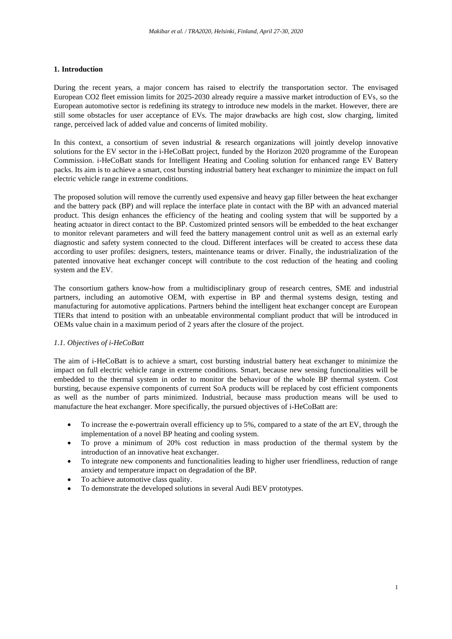## **1. Introduction**

During the recent years, a major concern has raised to electrify the transportation sector. The envisaged European CO2 fleet emission limits for 2025-2030 already require a massive market introduction of EVs, so the European automotive sector is redefining its strategy to introduce new models in the market. However, there are still some obstacles for user acceptance of EVs. The major drawbacks are high cost, slow charging, limited range, perceived lack of added value and concerns of limited mobility.

In this context, a consortium of seven industrial & research organizations will jointly develop innovative solutions for the EV sector in the i-HeCoBatt project, funded by the Horizon 2020 programme of the European Commission. i-HeCoBatt stands for Intelligent Heating and Cooling solution for enhanced range EV Battery packs. Its aim is to achieve a smart, cost bursting industrial battery heat exchanger to minimize the impact on full electric vehicle range in extreme conditions.

The proposed solution will remove the currently used expensive and heavy gap filler between the heat exchanger and the battery pack (BP) and will replace the interface plate in contact with the BP with an advanced material product. This design enhances the efficiency of the heating and cooling system that will be supported by a heating actuator in direct contact to the BP. Customized printed sensors will be embedded to the heat exchanger to monitor relevant parameters and will feed the battery management control unit as well as an external early diagnostic and safety system connected to the cloud. Different interfaces will be created to access these data according to user profiles: designers, testers, maintenance teams or driver. Finally, the industrialization of the patented innovative heat exchanger concept will contribute to the cost reduction of the heating and cooling system and the EV.

The consortium gathers know-how from a multidisciplinary group of research centres, SME and industrial partners, including an automotive OEM, with expertise in BP and thermal systems design, testing and manufacturing for automotive applications. Partners behind the intelligent heat exchanger concept are European TIERs that intend to position with an unbeatable environmental compliant product that will be introduced in OEMs value chain in a maximum period of 2 years after the closure of the project.

# *1.1. Objectives of i-HeCoBatt*

The aim of i-HeCoBatt is to achieve a smart, cost bursting industrial battery heat exchanger to minimize the impact on full electric vehicle range in extreme conditions. Smart, because new sensing functionalities will be embedded to the thermal system in order to monitor the behaviour of the whole BP thermal system. Cost bursting, because expensive components of current SoA products will be replaced by cost efficient components as well as the number of parts minimized. Industrial, because mass production means will be used to manufacture the heat exchanger. More specifically, the pursued objectives of i-HeCoBatt are:

- To increase the e-powertrain overall efficiency up to 5%, compared to a state of the art EV, through the implementation of a novel BP heating and cooling system.
- To prove a minimum of 20% cost reduction in mass production of the thermal system by the introduction of an innovative heat exchanger.
- To integrate new components and functionalities leading to higher user friendliness, reduction of range anxiety and temperature impact on degradation of the BP.
- To achieve automotive class quality.
- To demonstrate the developed solutions in several Audi BEV prototypes.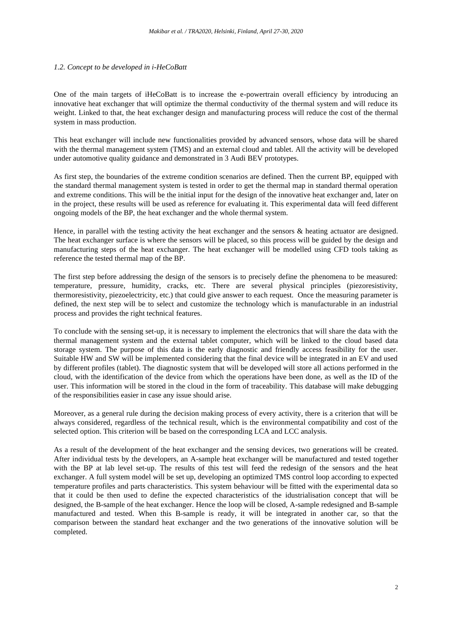## *1.2. Concept to be developed in i-HeCoBatt*

One of the main targets of iHeCoBatt is to increase the e-powertrain overall efficiency by introducing an innovative heat exchanger that will optimize the thermal conductivity of the thermal system and will reduce its weight. Linked to that, the heat exchanger design and manufacturing process will reduce the cost of the thermal system in mass production.

This heat exchanger will include new functionalities provided by advanced sensors, whose data will be shared with the thermal management system (TMS) and an external cloud and tablet. All the activity will be developed under automotive quality guidance and demonstrated in 3 Audi BEV prototypes.

As first step, the boundaries of the extreme condition scenarios are defined. Then the current BP, equipped with the standard thermal management system is tested in order to get the thermal map in standard thermal operation and extreme conditions. This will be the initial input for the design of the innovative heat exchanger and, later on in the project, these results will be used as reference for evaluating it. This experimental data will feed different ongoing models of the BP, the heat exchanger and the whole thermal system.

Hence, in parallel with the testing activity the heat exchanger and the sensors & heating actuator are designed. The heat exchanger surface is where the sensors will be placed, so this process will be guided by the design and manufacturing steps of the heat exchanger. The heat exchanger will be modelled using CFD tools taking as reference the tested thermal map of the BP.

The first step before addressing the design of the sensors is to precisely define the phenomena to be measured: temperature, pressure, humidity, cracks, etc. There are several physical principles (piezoresistivity, thermoresistivity, piezoelectricity, etc.) that could give answer to each request. Once the measuring parameter is defined, the next step will be to select and customize the technology which is manufacturable in an industrial process and provides the right technical features.

To conclude with the sensing set-up, it is necessary to implement the electronics that will share the data with the thermal management system and the external tablet computer, which will be linked to the cloud based data storage system. The purpose of this data is the early diagnostic and friendly access feasibility for the user. Suitable HW and SW will be implemented considering that the final device will be integrated in an EV and used by different profiles (tablet). The diagnostic system that will be developed will store all actions performed in the cloud, with the identification of the device from which the operations have been done, as well as the ID of the user. This information will be stored in the cloud in the form of traceability. This database will make debugging of the responsibilities easier in case any issue should arise.

Moreover, as a general rule during the decision making process of every activity, there is a criterion that will be always considered, regardless of the technical result, which is the environmental compatibility and cost of the selected option. This criterion will be based on the corresponding LCA and LCC analysis.

As a result of the development of the heat exchanger and the sensing devices, two generations will be created. After individual tests by the developers, an A-sample heat exchanger will be manufactured and tested together with the BP at lab level set-up. The results of this test will feed the redesign of the sensors and the heat exchanger. A full system model will be set up, developing an optimized TMS control loop according to expected temperature profiles and parts characteristics. This system behaviour will be fitted with the experimental data so that it could be then used to define the expected characteristics of the idustrialisation concept that will be designed, the B-sample of the heat exchanger. Hence the loop will be closed, A-sample redesigned and B-sample manufactured and tested. When this B-sample is ready, it will be integrated in another car, so that the comparison between the standard heat exchanger and the two generations of the innovative solution will be completed.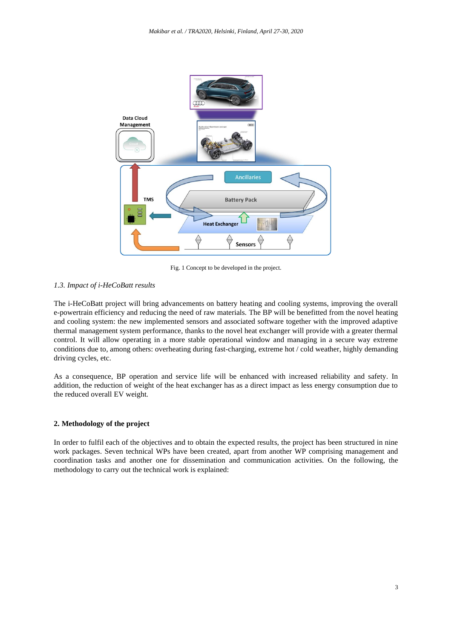

Fig. 1 Concept to be developed in the project.

# *1.3. Impact of i-HeCoBatt results*

The i-HeCoBatt project will bring advancements on battery heating and cooling systems, improving the overall e-powertrain efficiency and reducing the need of raw materials. The BP will be benefitted from the novel heating and cooling system: the new implemented sensors and associated software together with the improved adaptive thermal management system performance, thanks to the novel heat exchanger will provide with a greater thermal control. It will allow operating in a more stable operational window and managing in a secure way extreme conditions due to, among others: overheating during fast-charging, extreme hot / cold weather, highly demanding driving cycles, etc.

As a consequence, BP operation and service life will be enhanced with increased reliability and safety. In addition, the reduction of weight of the heat exchanger has as a direct impact as less energy consumption due to the reduced overall EV weight.

#### **2. Methodology of the project**

In order to fulfil each of the objectives and to obtain the expected results, the project has been structured in nine work packages. Seven technical WPs have been created, apart from another WP comprising management and coordination tasks and another one for dissemination and communication activities. On the following, the methodology to carry out the technical work is explained: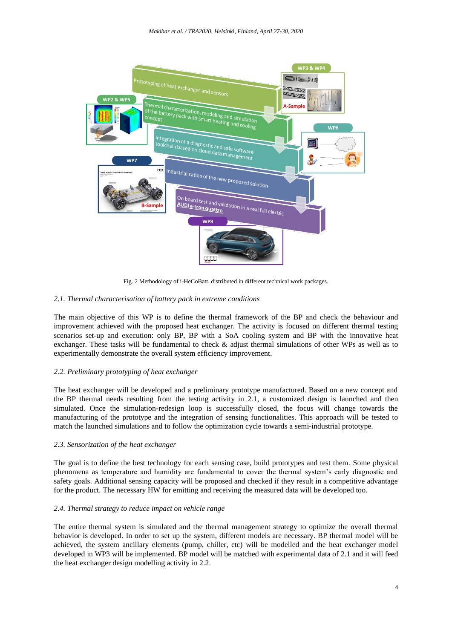

Fig. 2 Methodology of i-HeCoBatt, distributed in different technical work packages.

# *2.1. Thermal characterisation of battery pack in extreme conditions*

The main objective of this WP is to define the thermal framework of the BP and check the behaviour and improvement achieved with the proposed heat exchanger. The activity is focused on different thermal testing scenarios set-up and execution: only BP, BP with a SoA cooling system and BP with the innovative heat exchanger. These tasks will be fundamental to check & adjust thermal simulations of other WPs as well as to experimentally demonstrate the overall system efficiency improvement.

#### *2.2. Preliminary prototyping of heat exchanger*

The heat exchanger will be developed and a preliminary prototype manufactured. Based on a new concept and the BP thermal needs resulting from the testing activity in 2.1, a customized design is launched and then simulated. Once the simulation-redesign loop is successfully closed, the focus will change towards the manufacturing of the prototype and the integration of sensing functionalities. This approach will be tested to match the launched simulations and to follow the optimization cycle towards a semi-industrial prototype.

#### *2.3. Sensorization of the heat exchanger*

The goal is to define the best technology for each sensing case, build prototypes and test them. Some physical phenomena as temperature and humidity are fundamental to cover the thermal system's early diagnostic and safety goals. Additional sensing capacity will be proposed and checked if they result in a competitive advantage for the product. The necessary HW for emitting and receiving the measured data will be developed too.

#### *2.4. Thermal strategy to reduce impact on vehicle range*

The entire thermal system is simulated and the thermal management strategy to optimize the overall thermal behavior is developed. In order to set up the system, different models are necessary. BP thermal model will be achieved, the system ancillary elements (pump, chiller, etc) will be modelled and the heat exchanger model developed in WP3 will be implemented. BP model will be matched with experimental data of 2.1 and it will feed the heat exchanger design modelling activity in 2.2.